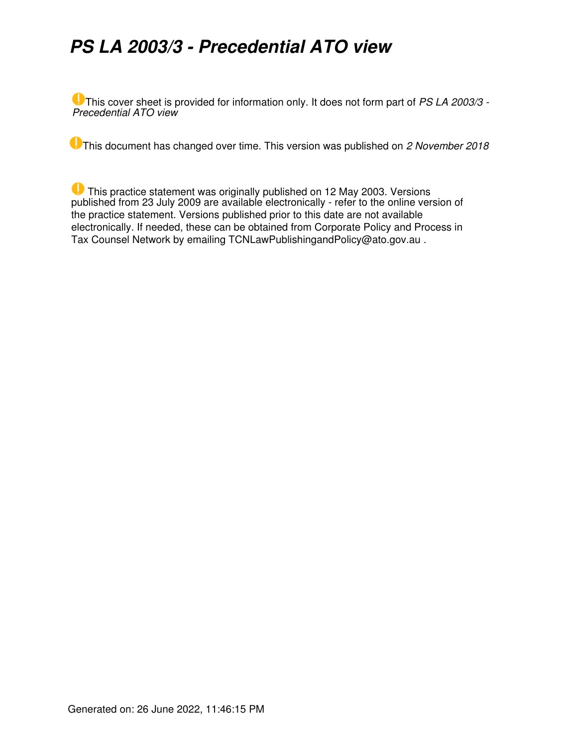# *PS LA 2003/3 - Precedential ATO view*

This cover sheet is provided for information only. It does not form part of *PS LA 2003/3 - Precedential ATO view*

This document has changed over time. This version was published on *2 November 2018*

 This practice statement was originally published on 12 May 2003. Versions published from 23 July 2009 are available electronically - refer to the online version of the practice statement. Versions published prior to this date are not available electronically. If needed, these can be obtained from Corporate Policy and Process in Tax Counsel Network by emailing TCNLawPublishingandPolicy@ato.gov.au .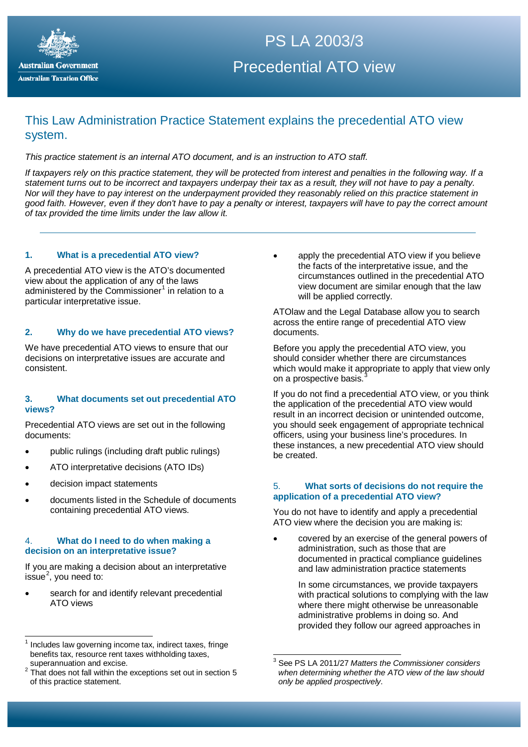

## $\overline{P}$  PS LA 2006/3 PS LA 2003/3 Precedential ATO view

## This Law Administration Practice Statement explains the precedential ATO view system.

*This practice statement is an internal ATO document, and is an instruction to ATO staff.*

*If taxpayers rely on this practice statement, they will be protected from interest and penalties in the following way. If a statement turns out to be incorrect and taxpayers underpay their tax as a result, they will not have to pay a penalty. Nor will they have to pay interest on the underpayment provided they reasonably relied on this practice statement in good faith. However, even if they don't have to pay a penalty or interest, taxpayers will have to pay the correct amount of tax provided the time limits under the law allow it.*

#### **1. What is a precedential ATO view?**

A precedential ATO view is the ATO's documented view about the application of any of the laws administered by the Commissioner<sup>[1](#page-1-0)</sup> in relation to a particular interpretative issue.

#### **2. Why do we have precedential ATO views?**

We have precedential ATO views to ensure that our decisions on interpretative issues are accurate and consistent.

#### **3. What documents set out precedential ATO views?**

Precedential ATO views are set out in the following documents:

- public rulings (including draft public rulings)
- ATO interpretative decisions (ATO IDs)
- decision impact statements
- documents listed in the Schedule of documents containing precedential ATO views.

#### 4. **What do I need to do when making a decision on an interpretative issue?**

If you are making a decision about an interpretative issue<sup>[2](#page-1-1)</sup>, you need to:

search for and identify relevant precedential ATO views

apply the precedential ATO view if you believe the facts of the interpretative issue, and the circumstances outlined in the precedential ATO view document are similar enough that the law will be applied correctly.

ATOlaw and the Legal Database allow you to search across the entire range of precedential ATO view documents.

Before you apply the precedential ATO view, you should consider whether there are circumstances which would make it appropriate to apply that view only on a prospective basis.

If you do not find a precedential ATO view, or you think the application of the precedential ATO view would result in an incorrect decision or unintended outcome, you should seek engagement of appropriate technical officers, using your business line's procedures. In these instances, a new precedential ATO view should be created.

#### 5. **What sorts of decisions do not require the application of a precedential ATO view?**

You do not have to identify and apply a precedential ATO view where the decision you are making is:

• covered by an exercise of the general powers of administration, such as those that are documented in practical compliance guidelines and law administration practice statements

> In some circumstances, we provide taxpayers with practical solutions to complying with the law where there might otherwise be unreasonable administrative problems in doing so. And provided they follow our agreed approaches in

<span id="page-1-0"></span>Includes law governing income tax, indirect taxes, fringe benefits tax, resource rent taxes withholding taxes, superannuation and excise. 

<span id="page-1-2"></span><span id="page-1-1"></span><sup>2</sup> That does not fall within the exceptions set out in section 5 of this practice statement.

<sup>3</sup> See PS LA 2011/27 *Matters the Commissioner considers when determining whether the ATO view of the law should only be applied prospectively*.  $\overline{a}$